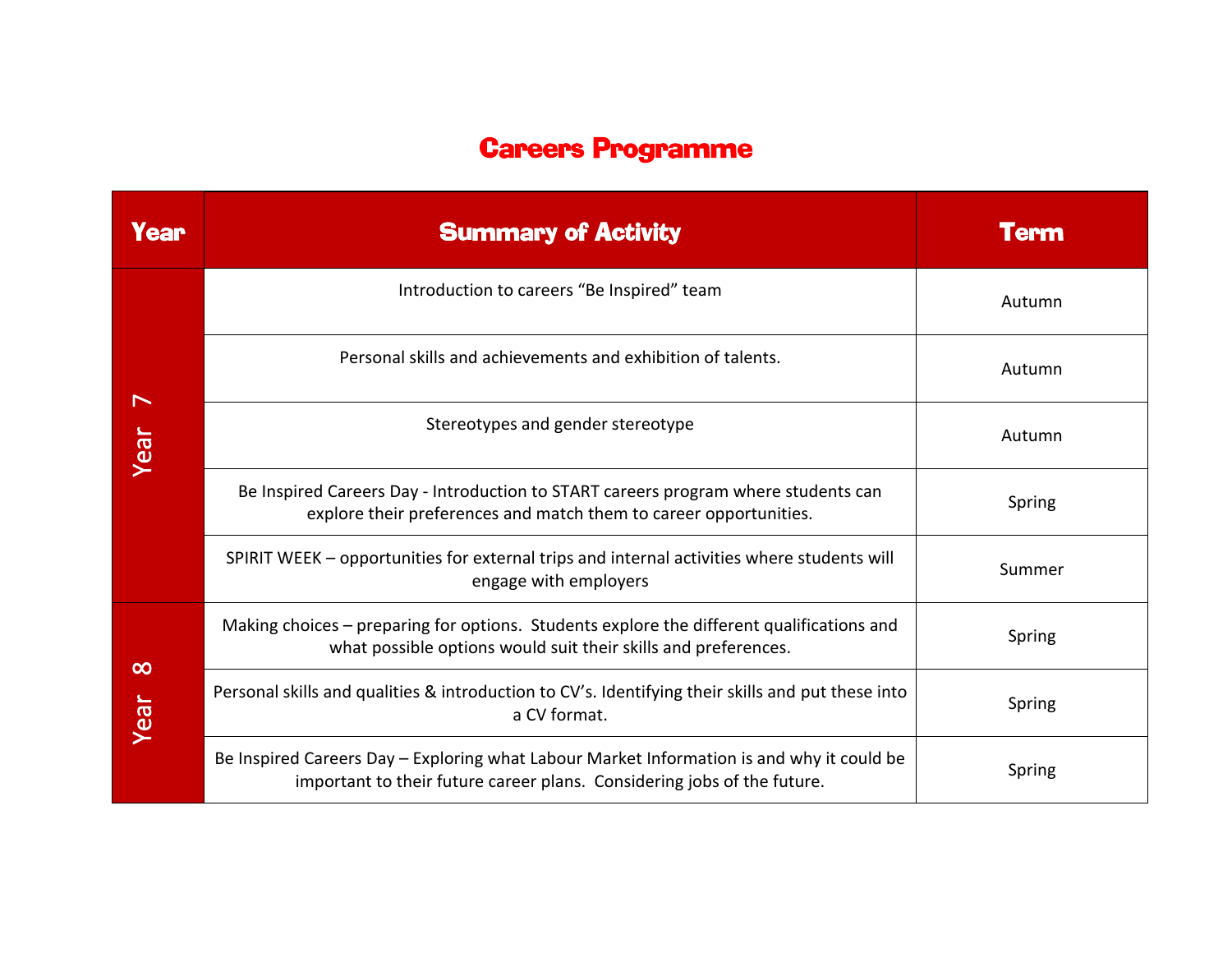## Careers Programme

| <b>Year</b>      | <b>Summary of Activity</b>                                                                                                                                           | <b>Term</b> |
|------------------|----------------------------------------------------------------------------------------------------------------------------------------------------------------------|-------------|
| Year             | Introduction to careers "Be Inspired" team                                                                                                                           | Autumn      |
|                  | Personal skills and achievements and exhibition of talents.                                                                                                          | Autumn      |
|                  | Stereotypes and gender stereotype                                                                                                                                    | Autumn      |
|                  | Be Inspired Careers Day - Introduction to START careers program where students can<br>explore their preferences and match them to career opportunities.              | Spring      |
|                  | SPIRIT WEEK - opportunities for external trips and internal activities where students will<br>engage with employers                                                  | Summer      |
| $\infty$<br>Year | Making choices - preparing for options. Students explore the different qualifications and<br>what possible options would suit their skills and preferences.          | Spring      |
|                  | Personal skills and qualities & introduction to CV's. Identifying their skills and put these into<br>a CV format.                                                    | Spring      |
|                  | Be Inspired Careers Day - Exploring what Labour Market Information is and why it could be<br>important to their future career plans. Considering jobs of the future. | Spring      |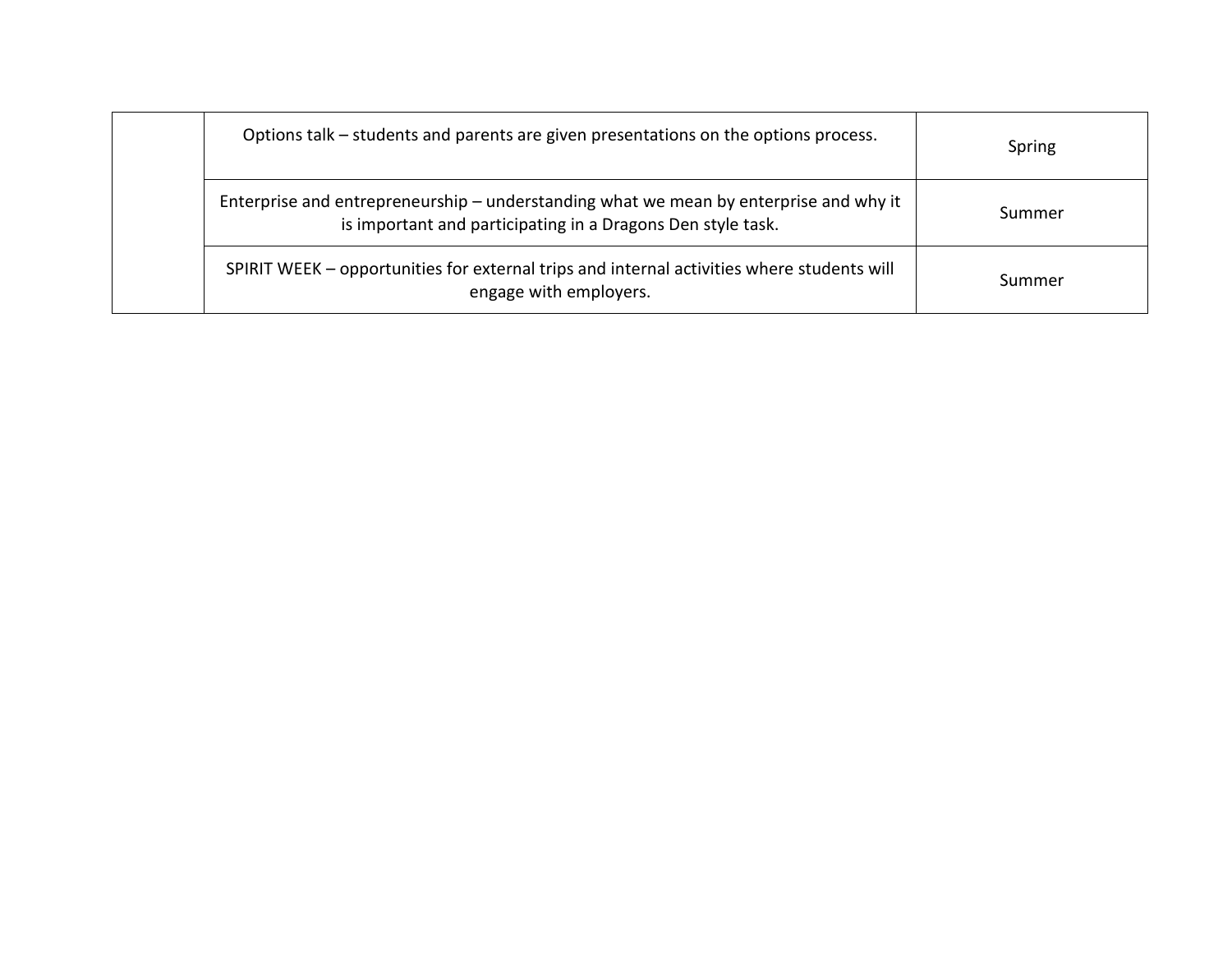| Options talk – students and parents are given presentations on the options process.                                                                  | Spring |
|------------------------------------------------------------------------------------------------------------------------------------------------------|--------|
| Enterprise and entrepreneurship – understanding what we mean by enterprise and why it<br>is important and participating in a Dragons Den style task. | Summer |
| SPIRIT WEEK – opportunities for external trips and internal activities where students will<br>engage with employers.                                 | Summer |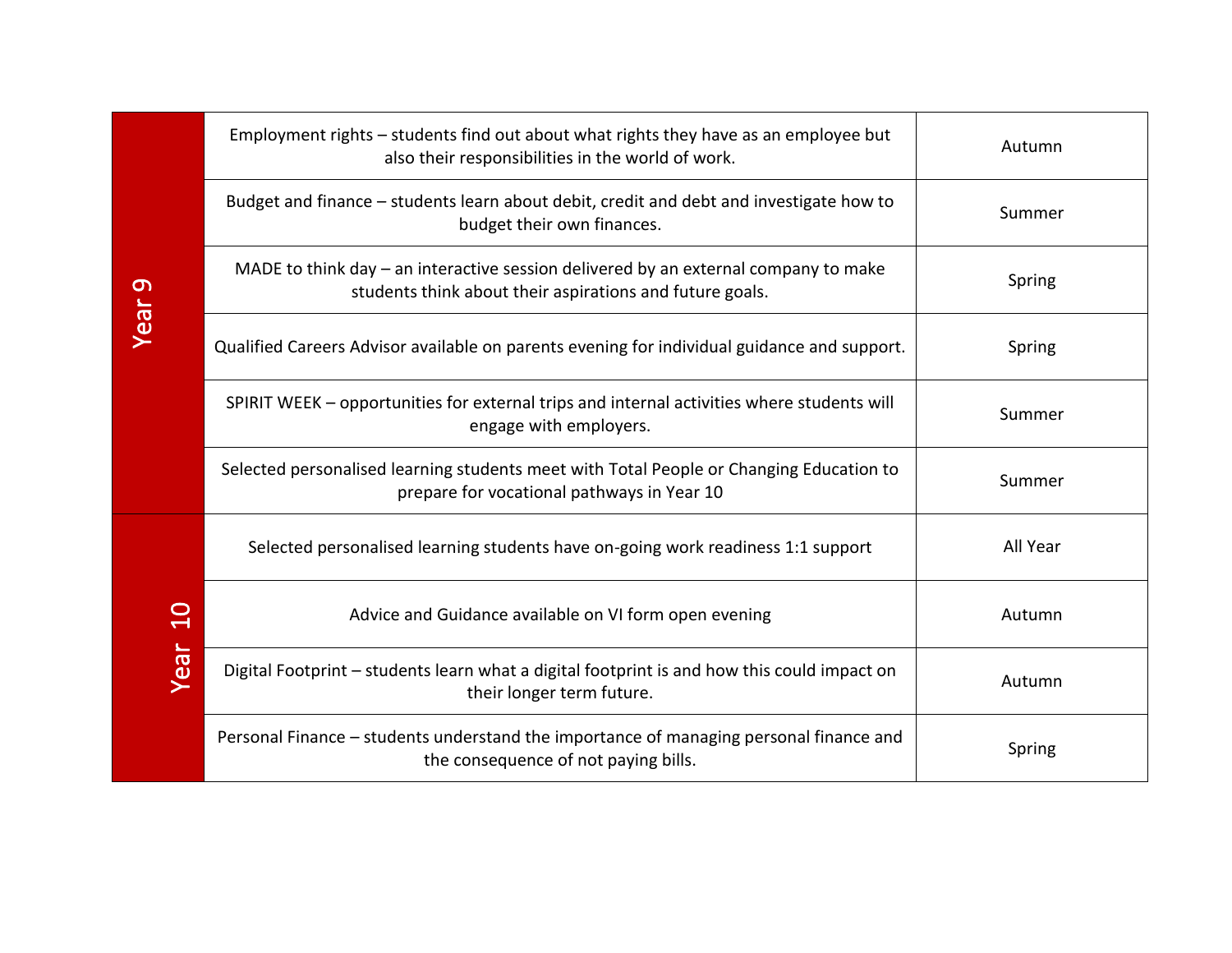| <b>Year 9</b>    | Employment rights – students find out about what rights they have as an employee but<br>also their responsibilities in the world of work.       | Autumn   |
|------------------|-------------------------------------------------------------------------------------------------------------------------------------------------|----------|
|                  | Budget and finance - students learn about debit, credit and debt and investigate how to<br>budget their own finances.                           | Summer   |
|                  | MADE to think day – an interactive session delivered by an external company to make<br>students think about their aspirations and future goals. | Spring   |
|                  | Qualified Careers Advisor available on parents evening for individual guidance and support.                                                     | Spring   |
|                  | SPIRIT WEEK - opportunities for external trips and internal activities where students will<br>engage with employers.                            | Summer   |
|                  | Selected personalised learning students meet with Total People or Changing Education to<br>prepare for vocational pathways in Year 10           | Summer   |
| $\Omega$<br>Year | Selected personalised learning students have on-going work readiness 1:1 support                                                                | All Year |
|                  | Advice and Guidance available on VI form open evening                                                                                           | Autumn   |
|                  | Digital Footprint - students learn what a digital footprint is and how this could impact on<br>their longer term future.                        | Autumn   |
|                  | Personal Finance - students understand the importance of managing personal finance and<br>the consequence of not paying bills.                  | Spring   |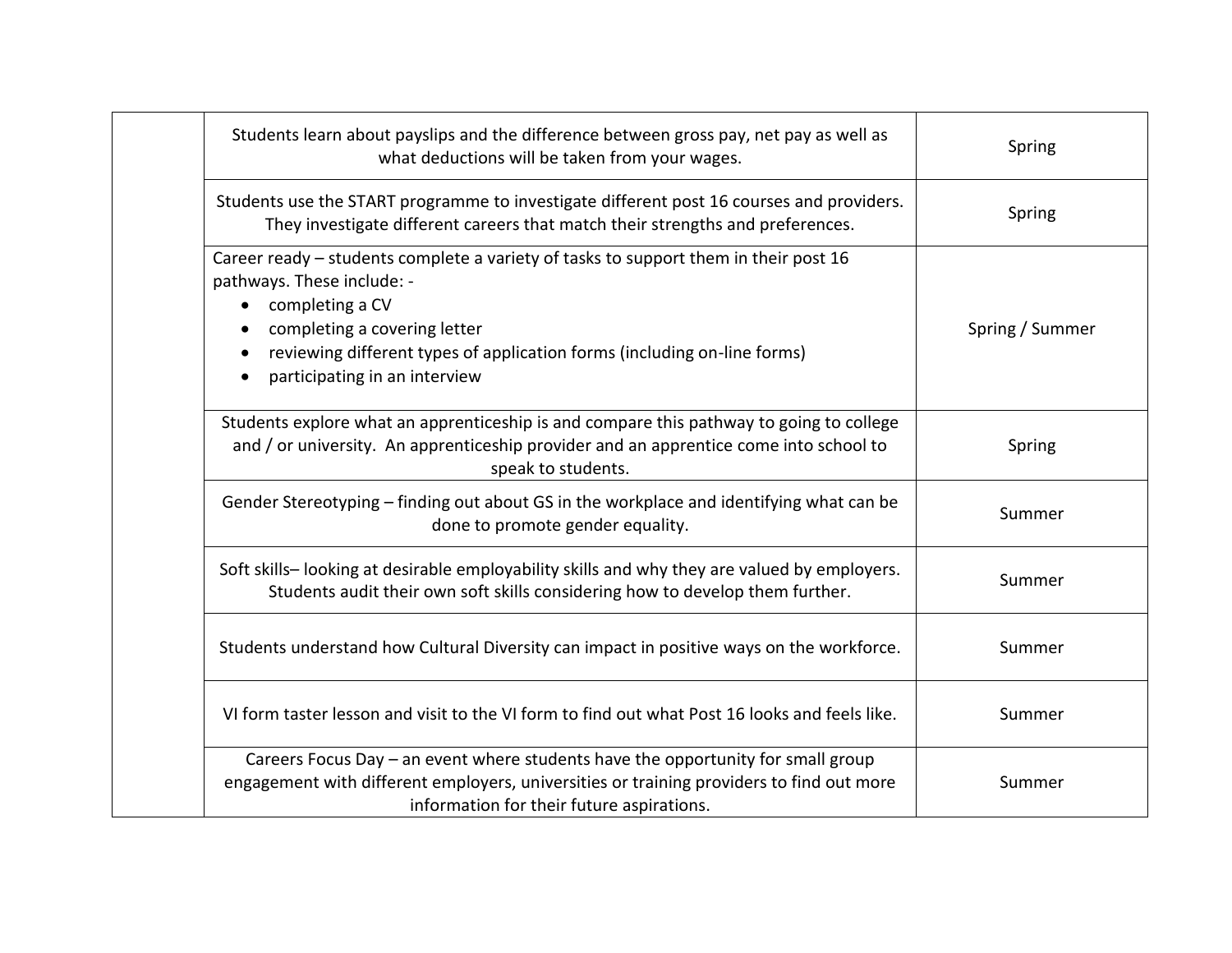| Students learn about payslips and the difference between gross pay, net pay as well as<br>what deductions will be taken from your wages.                                                                                                                                                        | Spring          |
|-------------------------------------------------------------------------------------------------------------------------------------------------------------------------------------------------------------------------------------------------------------------------------------------------|-----------------|
| Students use the START programme to investigate different post 16 courses and providers.<br>They investigate different careers that match their strengths and preferences.                                                                                                                      | Spring          |
| Career ready - students complete a variety of tasks to support them in their post 16<br>pathways. These include: -<br>completing a CV<br>$\bullet$<br>completing a covering letter<br>reviewing different types of application forms (including on-line forms)<br>participating in an interview | Spring / Summer |
| Students explore what an apprenticeship is and compare this pathway to going to college<br>and / or university. An apprenticeship provider and an apprentice come into school to<br>speak to students.                                                                                          | Spring          |
| Gender Stereotyping – finding out about GS in the workplace and identifying what can be<br>done to promote gender equality.                                                                                                                                                                     | Summer          |
| Soft skills-looking at desirable employability skills and why they are valued by employers.<br>Students audit their own soft skills considering how to develop them further.                                                                                                                    | Summer          |
| Students understand how Cultural Diversity can impact in positive ways on the workforce.                                                                                                                                                                                                        | Summer          |
| VI form taster lesson and visit to the VI form to find out what Post 16 looks and feels like.                                                                                                                                                                                                   | Summer          |
| Careers Focus Day - an event where students have the opportunity for small group<br>engagement with different employers, universities or training providers to find out more<br>information for their future aspirations.                                                                       | Summer          |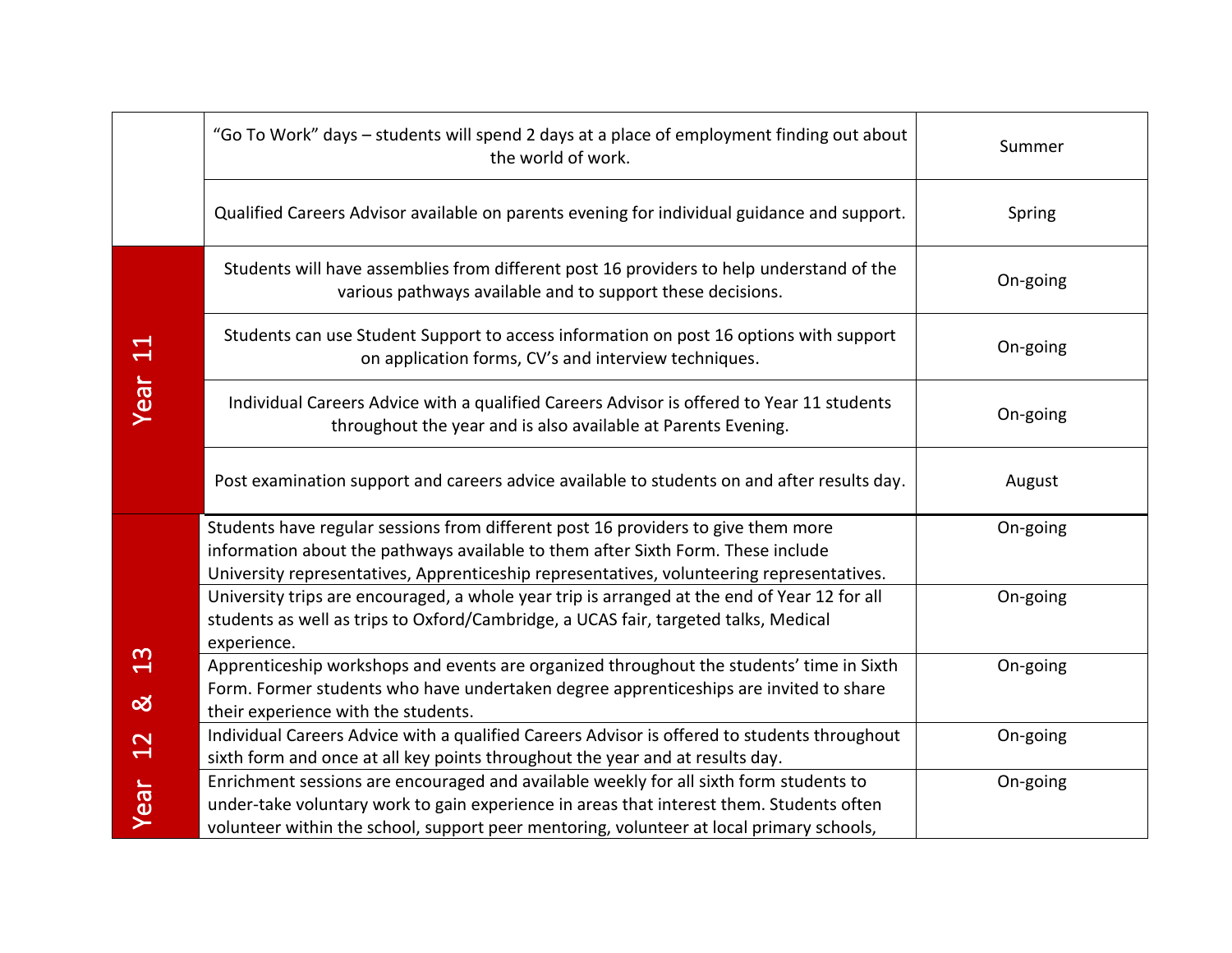|                           | "Go To Work" days - students will spend 2 days at a place of employment finding out about<br>the world of work.                                                                                                                                                                | Summer   |
|---------------------------|--------------------------------------------------------------------------------------------------------------------------------------------------------------------------------------------------------------------------------------------------------------------------------|----------|
|                           | Qualified Careers Advisor available on parents evening for individual guidance and support.                                                                                                                                                                                    | Spring   |
|                           | Students will have assemblies from different post 16 providers to help understand of the<br>various pathways available and to support these decisions.                                                                                                                         | On-going |
| $\Xi$                     | Students can use Student Support to access information on post 16 options with support<br>on application forms, CV's and interview techniques.                                                                                                                                 | On-going |
| Year                      | Individual Careers Advice with a qualified Careers Advisor is offered to Year 11 students<br>throughout the year and is also available at Parents Evening.                                                                                                                     | On-going |
|                           | Post examination support and careers advice available to students on and after results day.                                                                                                                                                                                    | August   |
|                           | Students have regular sessions from different post 16 providers to give them more<br>information about the pathways available to them after Sixth Form. These include<br>University representatives, Apprenticeship representatives, volunteering representatives.             | On-going |
|                           | University trips are encouraged, a whole year trip is arranged at the end of Year 12 for all<br>students as well as trips to Oxford/Cambridge, a UCAS fair, targeted talks, Medical<br>experience.                                                                             | On-going |
| $\frac{2}{1}$<br><u>ನ</u> | Apprenticeship workshops and events are organized throughout the students' time in Sixth<br>Form. Former students who have undertaken degree apprenticeships are invited to share<br>their experience with the students.                                                       | On-going |
| 2 <sup>2</sup>            | Individual Careers Advice with a qualified Careers Advisor is offered to students throughout<br>sixth form and once at all key points throughout the year and at results day.                                                                                                  | On-going |
| Year                      | Enrichment sessions are encouraged and available weekly for all sixth form students to<br>under-take voluntary work to gain experience in areas that interest them. Students often<br>volunteer within the school, support peer mentoring, volunteer at local primary schools, | On-going |